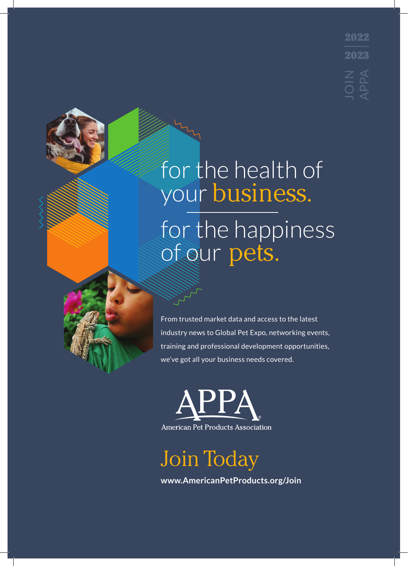2022 2023

for the health of your business. for the happiness of our pets.

From trusted market data and access to the latest industry news to Global Pet Expo, networking events, training and professional development opportunities, we've got all your business needs covered.

American Pet Products Association

Join Today

**www.AmericanPetProducts.org/Join**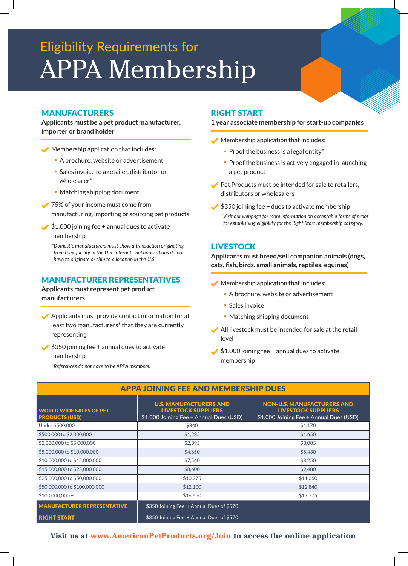# Eligibility Requirements for APPA Membership

#### MANUFACTURERS

**Applicants must be a pet product manufacturer, importer or brand holder**

- Membership application that includes:
	- A brochure, website or advertisement
	- Sales invoice to a retailer, distributor or wholesaler\*
	- Matching shipping document
- **◆ 75% of your income must come from** manufacturing, importing or sourcing pet products
- $\blacktriangleright$  \$1,000 joining fee + annual dues to activate membership

*\*Domestic manufacturers must show a transaction originating from their facility in the U.S. International applications do not have to originate or ship to a location in the U.S.*

#### MANUFACTURER REPRESENTATIVES

#### **Applicants must represent pet product manufacturers**

- Applicants must provide contact information for at least two manufacturers\* that they are currently representing
- $\bigtriangledown$  \$350 joining fee + annual dues to activate membership

*\*References do not have to be APPA members.*

#### RIGHT START

#### **1 year associate membership for start-up companies**

- Membership application that includes:
	- Proof the business is a legal entity\*
	- Proof the business is actively engaged in launching a pet product
- Pet Products must be intended for sale to retailers, distributors or wholesalers
- $\blacktriangleright$  \$350 joining fee + dues to activate membership

*\*Visit our webpage for more information on acceptable forms of proof for establishing eligibility for the Right Start membership category.*

#### **LIVESTOCK**

**Applicants must breed/sell companion animals (dogs, cats, fish, birds, small animals, reptiles, equines)**

- $\blacktriangleright$  Membership application that includes:
	- A brochure, website or advertisement
	- Sales invoice
	- Matching shipping document
- All livestock must be intended for sale at the retail level
- $\bigtriangledown$  \$1,000 joining fee + annual dues to activate membership

| APPA JUINING FEE AND MEMBERSHIP DUES                    |                                                                                                        |                                                                                                                          |
|---------------------------------------------------------|--------------------------------------------------------------------------------------------------------|--------------------------------------------------------------------------------------------------------------------------|
| <b>WORLD WIDE SALES OF PET</b><br><b>PRODUCTS (USD)</b> | <b>U.S. MANUFACTURERS AND</b><br><b>LIVESTOCK SUPPLIERS</b><br>\$1,000 Joining Fee + Annual Dues (USD) | <b>NON-U.S. MANUFACTURERS AND</b><br><b>LIVESTOCK SUPPLIERS</b><br>$\frac{1}{2}$ \$1,000 Joining Fee + Annual Dues (USD) |
| Under \$500,000                                         | \$840                                                                                                  | \$1,170                                                                                                                  |
| \$500,000 to \$2,000,000                                | \$1,235                                                                                                | \$1,650                                                                                                                  |
| \$2,000,000 to \$5,000,000                              | \$2,395                                                                                                | \$3,085                                                                                                                  |
| \$5,000,000 to \$10,000,000                             | \$4,650                                                                                                | \$5,430                                                                                                                  |
| \$10,000,000 to \$15,000,000                            | \$7,560                                                                                                | \$8,250                                                                                                                  |
| \$15,000,000 to \$25,000,000                            | \$8,600                                                                                                | \$9,480                                                                                                                  |
| \$25,000,000 to \$50,000,000                            | \$10,275                                                                                               | \$11,360                                                                                                                 |
| \$50,000,000 to \$100,000,000                           | \$12,100                                                                                               | \$12,840                                                                                                                 |
| $$100,000,000+$                                         | \$16,650                                                                                               | \$17,775                                                                                                                 |
| <b>MANUFACTURER REPRESENTATIVE</b>                      | \$350 Joining Fee + Annual Dues of \$570                                                               |                                                                                                                          |
| <b>RIGHT START</b>                                      | \$350 Joining Fee + Annual Dues of \$570                                                               |                                                                                                                          |

#### APPA JOINING FEE AND MEMBERSHIP DUES

**Visit us at www.AmericanPetProducts.org/Join to access the online application**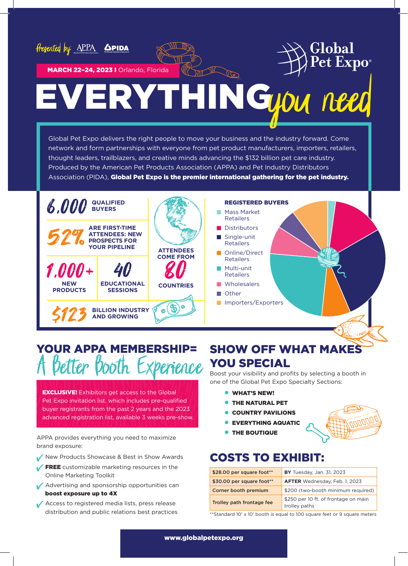





MARCH 22-24, 2023 I Orlando, Florida

# **VERYTHINGTON**

Global Pet Expo delivers the right people to move your business and the industry forward. Come network and form partnerships with everyone from pet product manufacturers, importers, retailers, thought leaders, trailblazers, and creative minds advancing the \$132 billion pet care industry. Produced by the American Pet Products Association (APPA) and Pet Industry Distributors Association (PIDA), Global Pet Expo is the premier international gathering for the pet industry.



### YOUR APPA MEMBERSHIP= Better Booth Experience

**EXCLUSIVE!** Exhibitors get access to the Global Pet Expo invitation list, which includes pre-qualified buyer registrants from the past 2 years and the 2023 advanced registration list, available 3 weeks pre-show.

APPA provides everything you need to maximize brand exposure:

- New Products Showcase & Best in Show Awards
- FREE customizable marketing resources in the Online Marketing Toolkit
- Advertising and sponsorship opportunities can boost exposure up to 4X
- Access to registered media lists, press release distribution and public relations best practices

### SHOW OFF WHAT MAKES YOU SPECIAL

Boost your visibility and profits by selecting a booth in one of the Global Pet Expo Specialty Sections:

- **WHAT'S NEW!**
- **THE NATURAL PET**
- COUNTRY PAVILIONS
- EVERYTHING AQUATIC
- **THE BOUTIQUE**

### COSTS TO EXHIBIT:

| \$28.00 per square foot** | <b>BY</b> Tuesday, Jan. 31, 2023                      |
|---------------------------|-------------------------------------------------------|
| \$30.00 per square foot** | <b>AFTER</b> Wednesday, Feb. 1, 2023                  |
| Corner booth premium      | \$200 (two-booth minimum required)                    |
| Trolley path frontage fee | \$250 per 10 ft. of frontage on main<br>trolley paths |

\*\* Standard 10' x 10' booth is equal to 100 square feet or 9 square meters